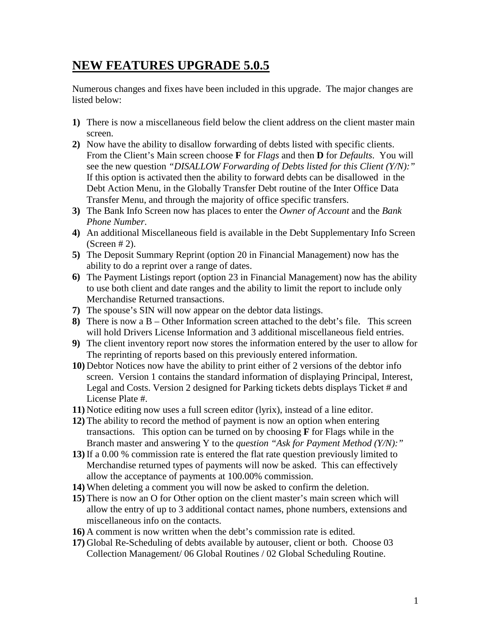## **NEW FEATURES UPGRADE 5.0.5**

Numerous changes and fixes have been included in this upgrade. The major changes are listed below:

- **1)** There is now a miscellaneous field below the client address on the client master main screen.
- **2)** Now have the ability to disallow forwarding of debts listed with specific clients. From the Client's Main screen choose **F** for *Flags* and then **D** for *Defaults*. You will see the new question *"DISALLOW Forwarding of Debts listed for this Client (Y/N):"*  If this option is activated then the ability to forward debts can be disallowed in the Debt Action Menu, in the Globally Transfer Debt routine of the Inter Office Data Transfer Menu, and through the majority of office specific transfers.
- **3)** The Bank Info Screen now has places to enter the *Owner of Account* and the *Bank Phone Number*.
- **4)** An additional Miscellaneous field is available in the Debt Supplementary Info Screen  $(Screen # 2)$ .
- **5)** The Deposit Summary Reprint (option 20 in Financial Management) now has the ability to do a reprint over a range of dates.
- **6)** The Payment Listings report (option 23 in Financial Management) now has the ability to use both client and date ranges and the ability to limit the report to include only Merchandise Returned transactions.
- **7)** The spouse's SIN will now appear on the debtor data listings.
- **8)** There is now a B Other Information screen attached to the debt's file. This screen will hold Drivers License Information and 3 additional miscellaneous field entries.
- **9)** The client inventory report now stores the information entered by the user to allow for The reprinting of reports based on this previously entered information.
- **10)** Debtor Notices now have the ability to print either of 2 versions of the debtor info screen. Version 1 contains the standard information of displaying Principal, Interest, Legal and Costs. Version 2 designed for Parking tickets debts displays Ticket # and License Plate #.
- **11)** Notice editing now uses a full screen editor (lyrix), instead of a line editor.
- **12)** The ability to record the method of payment is now an option when entering transactions. This option can be turned on by choosing **F** for Flags while in the Branch master and answering Y to the *question "Ask for Payment Method (Y/N):"*
- **13)** If a 0.00 % commission rate is entered the flat rate question previously limited to Merchandise returned types of payments will now be asked. This can effectively allow the acceptance of payments at 100.00% commission.
- **14)** When deleting a comment you will now be asked to confirm the deletion.
- **15)** There is now an O for Other option on the client master's main screen which will allow the entry of up to 3 additional contact names, phone numbers, extensions and miscellaneous info on the contacts.
- **16)** A comment is now written when the debt's commission rate is edited.
- **17)** Global Re-Scheduling of debts available by autouser, client or both. Choose 03 Collection Management/ 06 Global Routines / 02 Global Scheduling Routine.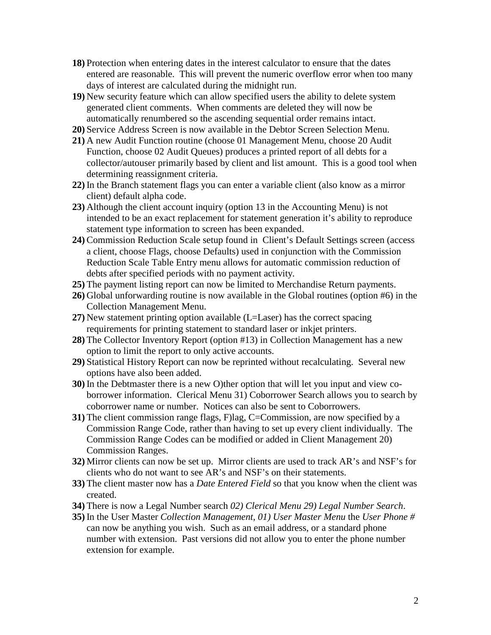- **18)** Protection when entering dates in the interest calculator to ensure that the dates entered are reasonable. This will prevent the numeric overflow error when too many days of interest are calculated during the midnight run.
- **19)** New security feature which can allow specified users the ability to delete system generated client comments. When comments are deleted they will now be automatically renumbered so the ascending sequential order remains intact.
- **20)** Service Address Screen is now available in the Debtor Screen Selection Menu.
- **21)** A new Audit Function routine (choose 01 Management Menu, choose 20 Audit Function, choose 02 Audit Queues) produces a printed report of all debts for a collector/autouser primarily based by client and list amount. This is a good tool when determining reassignment criteria.
- **22)** In the Branch statement flags you can enter a variable client (also know as a mirror client) default alpha code.
- **23)** Although the client account inquiry (option 13 in the Accounting Menu) is not intended to be an exact replacement for statement generation it's ability to reproduce statement type information to screen has been expanded.
- **24)** Commission Reduction Scale setup found in Client's Default Settings screen (access a client, choose Flags, choose Defaults) used in conjunction with the Commission Reduction Scale Table Entry menu allows for automatic commission reduction of debts after specified periods with no payment activity.
- **25)** The payment listing report can now be limited to Merchandise Return payments.
- **26)** Global unforwarding routine is now available in the Global routines (option #6) in the Collection Management Menu.
- **27)** New statement printing option available (L=Laser) has the correct spacing requirements for printing statement to standard laser or inkjet printers.
- **28)** The Collector Inventory Report (option #13) in Collection Management has a new option to limit the report to only active accounts.
- **29)** Statistical History Report can now be reprinted without recalculating. Several new options have also been added.
- **30)** In the Debtmaster there is a new O)ther option that will let you input and view coborrower information. Clerical Menu 31) Coborrower Search allows you to search by coborrower name or number. Notices can also be sent to Coborrowers.
- **31**) The client commission range flags, F)lag, C=Commission, are now specified by a Commission Range Code, rather than having to set up every client individually. The Commission Range Codes can be modified or added in Client Management 20) Commission Ranges.
- **32)** Mirror clients can now be set up. Mirror clients are used to track AR's and NSF's for clients who do not want to see AR's and NSF's on their statements.
- **33)** The client master now has a *Date Entered Field* so that you know when the client was created.
- **34)** There is now a Legal Number search *02) Clerical Menu 29) Legal Number Search*.
- **35)** In the User Master *Collection Management, 01) User Master Menu* the *User Phone #* can now be anything you wish. Such as an email address, or a standard phone number with extension. Past versions did not allow you to enter the phone number extension for example.